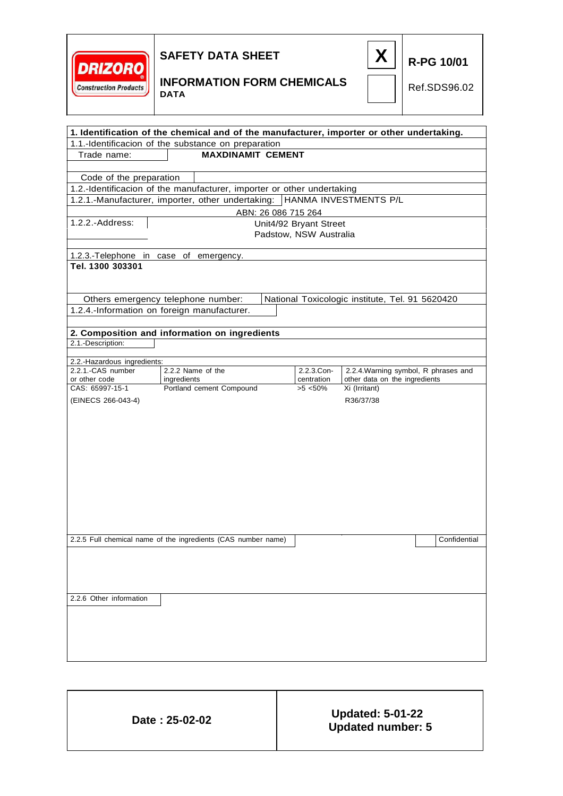



**R-PG 10/01**

### **INFORMATION FORM CHEMICALS DATA**

Ref.SDS96.02

| 1. Identification of the chemical and of the manufacturer, importer or other undertaking.<br>1.1.-Identificacion of the substance on preparation |                                                                        |                        |                                                              |              |
|--------------------------------------------------------------------------------------------------------------------------------------------------|------------------------------------------------------------------------|------------------------|--------------------------------------------------------------|--------------|
| <b>MAXDINAMIT CEMENT</b><br>Trade name:                                                                                                          |                                                                        |                        |                                                              |              |
|                                                                                                                                                  |                                                                        |                        |                                                              |              |
| Code of the preparation                                                                                                                          |                                                                        |                        |                                                              |              |
|                                                                                                                                                  | 1.2.-Identificacion of the manufacturer, importer or other undertaking |                        |                                                              |              |
|                                                                                                                                                  | 1.2.1.-Manufacturer, importer, other undertaking:                      |                        | HANMA INVESTMENTS P/L                                        |              |
|                                                                                                                                                  |                                                                        | ABN: 26 086 715 264    |                                                              |              |
| $1.2.2.-Address:$                                                                                                                                |                                                                        | Unit4/92 Bryant Street |                                                              |              |
|                                                                                                                                                  |                                                                        | Padstow, NSW Australia |                                                              |              |
|                                                                                                                                                  |                                                                        |                        |                                                              |              |
| 1.2.3.-Telephone in case of emergency.<br>Tel. 1300 303301                                                                                       |                                                                        |                        |                                                              |              |
|                                                                                                                                                  |                                                                        |                        |                                                              |              |
|                                                                                                                                                  |                                                                        |                        |                                                              |              |
|                                                                                                                                                  | Others emergency telephone number:                                     |                        | National Toxicologic institute, Tel. 91 5620420              |              |
|                                                                                                                                                  | 1.2.4.-Information on foreign manufacturer.                            |                        |                                                              |              |
|                                                                                                                                                  |                                                                        |                        |                                                              |              |
|                                                                                                                                                  | 2. Composition and information on ingredients                          |                        |                                                              |              |
| 2.1.-Description:                                                                                                                                |                                                                        |                        |                                                              |              |
| 2.2.-Hazardous ingredients:                                                                                                                      |                                                                        |                        |                                                              |              |
| 2.2.1.-CAS number                                                                                                                                | 2.2.2 Name of the                                                      | 2.2.3.Con-             | 2.2.4. Warning symbol, R phrases and                         |              |
| or other code<br>CAS: 65997-15-1                                                                                                                 | ingredients<br>Portland cement Compound                                | $>5$ <50%              | other data on the ingredients<br>centration<br>Xi (Irritant) |              |
| (EINECS 266-043-4)                                                                                                                               |                                                                        |                        | R36/37/38                                                    |              |
|                                                                                                                                                  |                                                                        |                        |                                                              |              |
|                                                                                                                                                  |                                                                        |                        |                                                              |              |
|                                                                                                                                                  |                                                                        |                        |                                                              |              |
|                                                                                                                                                  |                                                                        |                        |                                                              |              |
|                                                                                                                                                  |                                                                        |                        |                                                              |              |
|                                                                                                                                                  |                                                                        |                        |                                                              |              |
|                                                                                                                                                  |                                                                        |                        |                                                              |              |
|                                                                                                                                                  |                                                                        |                        |                                                              |              |
|                                                                                                                                                  |                                                                        |                        |                                                              |              |
|                                                                                                                                                  |                                                                        |                        |                                                              |              |
|                                                                                                                                                  |                                                                        |                        |                                                              |              |
|                                                                                                                                                  | 2.2.5 Full chemical name of the ingredients (CAS number name)          |                        |                                                              | Confidential |
|                                                                                                                                                  |                                                                        |                        |                                                              |              |
|                                                                                                                                                  |                                                                        |                        |                                                              |              |
|                                                                                                                                                  |                                                                        |                        |                                                              |              |
|                                                                                                                                                  |                                                                        |                        |                                                              |              |
| 2.2.6 Other information                                                                                                                          |                                                                        |                        |                                                              |              |
|                                                                                                                                                  |                                                                        |                        |                                                              |              |
|                                                                                                                                                  |                                                                        |                        |                                                              |              |
|                                                                                                                                                  |                                                                        |                        |                                                              |              |
|                                                                                                                                                  |                                                                        |                        |                                                              |              |
|                                                                                                                                                  |                                                                        |                        |                                                              |              |

| Date: 25-02-02 | <b>Updated: 5-01-22</b> |
|----------------|-------------------------|
|                | Updated number: 5       |

T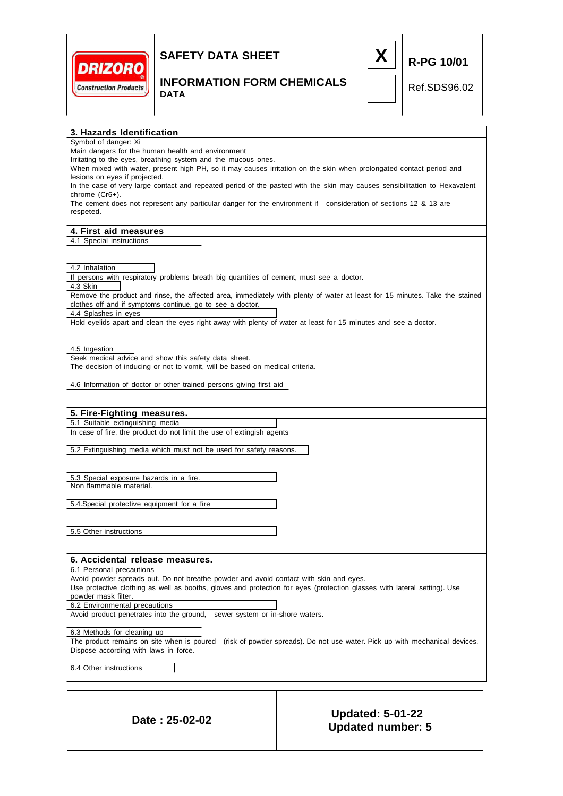

**DATA**



## **INFORMATION FORM CHEMICALS**

Ref.SDS96.02

**R-PG 10/01**

**3. Hazards Identification** Symbol of danger: Xi Main dangers for the human health and environment Irritating to the eyes, breathing system and the mucous ones. When mixed with water, present high PH, so it may causes irritation on the skin when prolongated contact period and lesions on eyes if projected. In the case of very large contact and repeated period of the pasted with the skin may causes sensibilitation to Hexavalent chrome (Cr6+). The cement does not represent any particular danger for the environment if consideration of sections 12 & 13 are respeted. **4. First aid measures** 4.1 Special instructions 4.2 Inhalation If persons with respiratory problems breath big quantities of cement, must see a doctor. 4.3 Skin Remove the product and rinse, the affected area, immediately with plenty of water at least for 15 minutes. Take the stained clothes off and if symptoms continue, go to see a doctor. 4.4 Splashes in eyes Hold eyelids apart and clean the eyes right away with plenty of water at least for 15 minutes and see a doctor. 4.5 Ingestion Seek medical advice and show this safety data sheet. The decision of inducing or not to vomit, will be based on medical criteria. 4.6 Information of doctor or other trained persons giving first aid **5. Fire-Fighting measures.** 5.1 Suitable extinguishing media In case of fire, the product do not limit the use of extingish agents 5.2 Extinguishing media which must not be used for safety reasons. 5.3 Special exposure hazards in a fire. Non flammable material. 5.4.Special protective equipment for a fire 5.5 Other instructions **6. Accidental release measures.** 6.1 Personal precautions Avoid powder spreads out. Do not breathe powder and avoid contact with skin and eyes. Use protective clothing as well as booths, gloves and protection for eyes (protection glasses with lateral setting). Use powder mask filter. 6.2 Environmental precautions Avoid product penetrates into the ground, sewer system or in-shore waters. 6.3 Methods for cleaning up The product remains on site when is poured (risk of powder spreads). Do not use water. Pick up with mechanical devices. Dispose according with laws in force. 6.4 Other instructions **Date : 25-02-02 Updated: 5-01-22**

**Updated number: 5**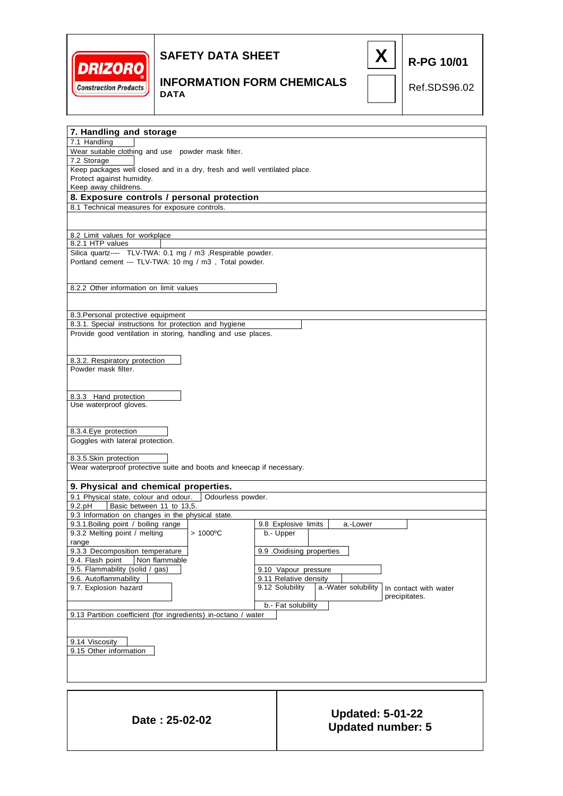



#### **INFORMATION FORM CHEMICALS DATA**

Ref.SDS96.02

**R-PG 10/01**

**7. Handling and storage** 7.1 Handling Wear suitable clothing and use powder mask filter. 7.2 Storage Keep packages well closed and in a dry, fresh and well ventilated place. Protect against humidity. Keep away childrens. **8. Exposure controls / personal protection** 8.1 Technical measures for exposure controls. 8.2 Limit values for workplace 8.2.1 HTP values Silica quartz---- TLV-TWA: 0.1 mg / m3 ,Respirable powder. Portland cement --- TLV-TWA: 10 mg / m3 , Total powder. 8.2.2 Other information on limit values 8.3.Personal protective equipment 8.3.1. Special instructions for protection and hygiene Provide good ventilation in storing, handling and use places. 8.3.2. Respiratory protection Powder mask filter. 8.3.3 Hand protection Use waterproof gloves. 8.3.4.Eye protection Goggles with lateral protection. 8.3.5.Skin protection Wear waterproof protective suite and boots and kneecap if necessary. **9. Physical and chemical properties.** 9.1 Physical state, colour and odour. Odourless powder. 9.2.pH | Basic between 11 to 13,5 9.3 Information on changes in the physical state. 9.3.1.Boiling point / boiling range 9.3.2 Melting point / melting > 1000°C range 9.3.3 Decomposition temperature 9.4. Flash point Non flammable 9.5. Flammability (solid / gas) 9.6. Autoflammability 9.7. Explosion hazard b.- Fat solubility 9.13 Partition coefficient (for ingredients) in-octano / water 9.14 Viscosity 9.15 Other information In contact with water precipitates. 9.8 Explosive limits | a.-Lower b.- Upper 9.9 .Oxidising properties 9.10 Vapour pressure 9.11 Relative density<br>9.12 Solubility  $|a.-b|$ a.-Water solubility

**Date : 25-02-02 Updated: 5-01-22 Updated number: 5**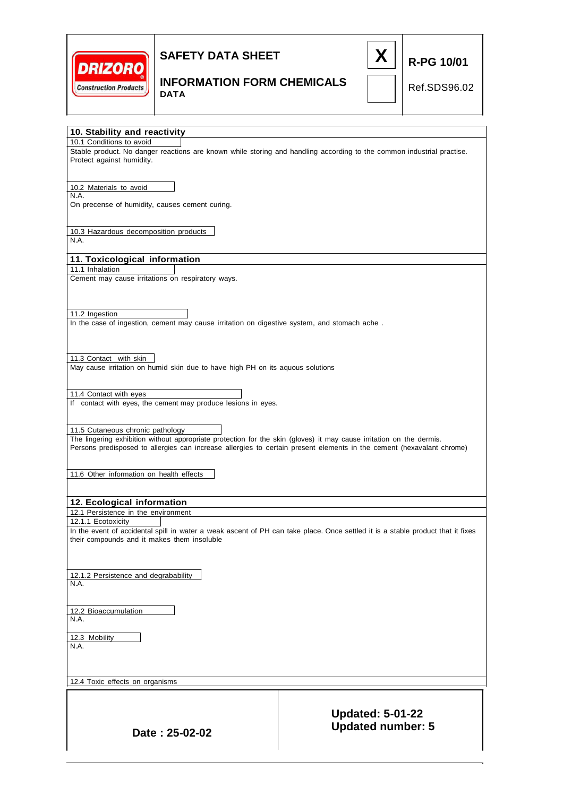



### **INFORMATION FORM CHEMICALS DATA**

Ref.SDS96.02

|                                                                                                                                                                                                                                                                                   | <b>Updated: 5-01-22</b>                                                                                                         |  |
|-----------------------------------------------------------------------------------------------------------------------------------------------------------------------------------------------------------------------------------------------------------------------------------|---------------------------------------------------------------------------------------------------------------------------------|--|
| 12.4 Toxic effects on organisms                                                                                                                                                                                                                                                   |                                                                                                                                 |  |
|                                                                                                                                                                                                                                                                                   |                                                                                                                                 |  |
| 12.3 Mobility<br>N.A.                                                                                                                                                                                                                                                             |                                                                                                                                 |  |
| 12.2 Bioaccumulation<br>N.A.                                                                                                                                                                                                                                                      |                                                                                                                                 |  |
| N.A.                                                                                                                                                                                                                                                                              |                                                                                                                                 |  |
| 12.1.2 Persistence and degrabability                                                                                                                                                                                                                                              |                                                                                                                                 |  |
| their compounds and it makes them insoluble                                                                                                                                                                                                                                       | In the event of accidental spill in water a weak ascent of PH can take place. Once settled it is a stable product that it fixes |  |
| 12.1 Persistence in the environment<br>12.1.1 Ecotoxicity                                                                                                                                                                                                                         |                                                                                                                                 |  |
| 11.6 Other information on health effects<br>12. Ecological information                                                                                                                                                                                                            |                                                                                                                                 |  |
| 11.5 Cutaneous chronic pathology<br>The lingering exhibition without appropriate protection for the skin (gloves) it may cause irritation on the dermis.<br>Persons predisposed to allergies can increase allergies to certain present elements in the cement (hexavalant chrome) |                                                                                                                                 |  |
| 11.4 Contact with eyes<br>If contact with eyes, the cement may produce lesions in eyes.                                                                                                                                                                                           |                                                                                                                                 |  |
| May cause irritation on humid skin due to have high PH on its aquous solutions                                                                                                                                                                                                    |                                                                                                                                 |  |
| 11.3 Contact with skin                                                                                                                                                                                                                                                            |                                                                                                                                 |  |
| 11.2 Ingestion<br>In the case of ingestion, cement may cause irritation on digestive system, and stomach ache.                                                                                                                                                                    |                                                                                                                                 |  |
| 11.1 Inhalation<br>Cement may cause irritations on respiratory ways.                                                                                                                                                                                                              |                                                                                                                                 |  |
| 11. Toxicological information                                                                                                                                                                                                                                                     |                                                                                                                                 |  |
| 10.3 Hazardous decomposition products<br>N.A.                                                                                                                                                                                                                                     |                                                                                                                                 |  |
| On precense of humidity, causes cement curing.                                                                                                                                                                                                                                    |                                                                                                                                 |  |
| 10.2 Materials to avoid<br>N.A.                                                                                                                                                                                                                                                   |                                                                                                                                 |  |
| Stable product. No danger reactions are known while storing and handling according to the common industrial practise.<br>Protect against humidity.                                                                                                                                |                                                                                                                                 |  |
| 10. Stability and reactivity<br>10.1 Conditions to avoid                                                                                                                                                                                                                          |                                                                                                                                 |  |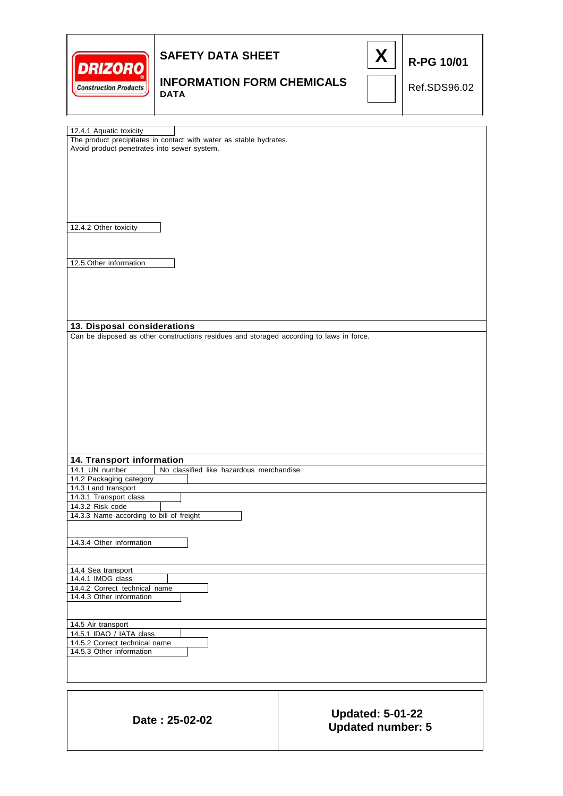|  | <b>Construction Products</b> |
|--|------------------------------|



# **INFORMATION FORM CHEMICALS**

Ref.SDS96.02

**DATA**

| 12.4.1 Aquatic toxicity                                                                  |                          |  |  |  |
|------------------------------------------------------------------------------------------|--------------------------|--|--|--|
| The product precipitates in contact with water as stable hydrates.                       |                          |  |  |  |
| Avoid product penetrates into sewer system.                                              |                          |  |  |  |
|                                                                                          |                          |  |  |  |
|                                                                                          |                          |  |  |  |
|                                                                                          |                          |  |  |  |
|                                                                                          |                          |  |  |  |
|                                                                                          |                          |  |  |  |
|                                                                                          |                          |  |  |  |
| 12.4.2 Other toxicity                                                                    |                          |  |  |  |
|                                                                                          |                          |  |  |  |
|                                                                                          |                          |  |  |  |
|                                                                                          |                          |  |  |  |
| 12.5. Other information                                                                  |                          |  |  |  |
|                                                                                          |                          |  |  |  |
|                                                                                          |                          |  |  |  |
|                                                                                          |                          |  |  |  |
|                                                                                          |                          |  |  |  |
|                                                                                          |                          |  |  |  |
| 13. Disposal considerations                                                              |                          |  |  |  |
| Can be disposed as other constructions residues and storaged according to laws in force. |                          |  |  |  |
|                                                                                          |                          |  |  |  |
|                                                                                          |                          |  |  |  |
|                                                                                          |                          |  |  |  |
|                                                                                          |                          |  |  |  |
|                                                                                          |                          |  |  |  |
|                                                                                          |                          |  |  |  |
|                                                                                          |                          |  |  |  |
|                                                                                          |                          |  |  |  |
|                                                                                          |                          |  |  |  |
|                                                                                          |                          |  |  |  |
|                                                                                          |                          |  |  |  |
| 14. Transport information<br>14.1 UN number<br>No classified like hazardous merchandise. |                          |  |  |  |
| 14.2 Packaging category                                                                  |                          |  |  |  |
| 14.3 Land transport                                                                      |                          |  |  |  |
| 14.3.1 Transport class                                                                   |                          |  |  |  |
| 14.3.2 Risk code                                                                         |                          |  |  |  |
| 14.3.3 Name according to bill of freight                                                 |                          |  |  |  |
|                                                                                          |                          |  |  |  |
|                                                                                          |                          |  |  |  |
| 14.3.4 Other information                                                                 |                          |  |  |  |
|                                                                                          |                          |  |  |  |
| 14.4 Sea transport                                                                       |                          |  |  |  |
| 14.4.1 IMDG class                                                                        |                          |  |  |  |
| 14.4.2 Correct technical name                                                            |                          |  |  |  |
| 14.4.3 Other information                                                                 |                          |  |  |  |
|                                                                                          |                          |  |  |  |
| 14.5 Air transport                                                                       |                          |  |  |  |
| 14.5.1 IDAO / IATA class                                                                 |                          |  |  |  |
| 14.5.2 Correct technical name                                                            |                          |  |  |  |
| 14.5.3 Other information                                                                 |                          |  |  |  |
|                                                                                          |                          |  |  |  |
|                                                                                          |                          |  |  |  |
|                                                                                          |                          |  |  |  |
|                                                                                          |                          |  |  |  |
|                                                                                          |                          |  |  |  |
|                                                                                          | <b>Updated: 5-01-22</b>  |  |  |  |
| Date: 25-02-02                                                                           | <b>Updated number: 5</b> |  |  |  |
|                                                                                          |                          |  |  |  |